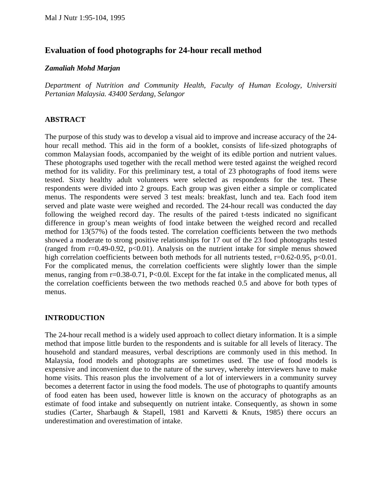# **Evaluation of food photographs for 24-hour recall method**

### *Zamaliah Mohd Marjan*

*Department of Nutrition and Community Health, Faculty of Human Ecology, Universiti Pertanian Malaysia. 43400 Serdang, Selangor* 

## **ABSTRACT**

The purpose of this study was to develop a visual aid to improve and increase accuracy of the 24 hour recall method. This aid in the form of a booklet, consists of life-sized photographs of common Malaysian foods, accompanied by the weight of its edible portion and nutrient values. These photographs used together with the recall method were tested against the weighed record method for its validity. For this preliminary test, a total of 23 photographs of food items were tested. Sixty healthy adult volunteers were selected as respondents for the test. These respondents were divided into 2 groups. Each group was given either a simple or complicated menus. The respondents were served 3 test meals: breakfast, lunch and tea. Each food item served and plate waste were weighed and recorded. The 24-hour recall was conducted the day following the weighed record day. The results of the paired t-tests indicated no significant difference in group's mean weights of food intake between the weighed record and recalled method for 13(57%) of the foods tested. The correlation coefficients between the two methods showed a moderate to strong positive relationships for 17 out of the 23 food photographs tested (ranged from  $r=0.49-0.92$ ,  $p<0.01$ ). Analysis on the nutrient intake for simple menus showed high correlation coefficients between both methods for all nutrients tested,  $r=0.62-0.95$ ,  $p<0.01$ . For the complicated menus, the correlation coefficients were slightly lower than the simple menus, ranging from r=0.38-0.71, P<0.01. Except for the fat intake in the complicated menus, all the correlation coefficients between the two methods reached 0.5 and above for both types of menus.

## **INTRODUCTION**

The 24-hour recall method is a widely used approach to collect dietary information. It is a simple method that impose little burden to the respondents and is suitable for all levels of literacy. The household and standard measures, verbal descriptions are commonly used in this method. In Malaysia, food models and photographs are sometimes used. The use of food models is expensive and inconvenient due to the nature of the survey, whereby interviewers have to make home visits. This reason plus the involvement of a lot of interviewers in a community survey becomes a deterrent factor in using the food models. The use of photographs to quantify amounts of food eaten has been used, however little is known on the accuracy of photographs as an estimate of food intake and subsequently on nutrient intake. Consequently, as shown in some studies (Carter, Sharbaugh & Stapell, 1981 and Karvetti & Knuts, 1985) there occurs an underestimation and overestimation of intake.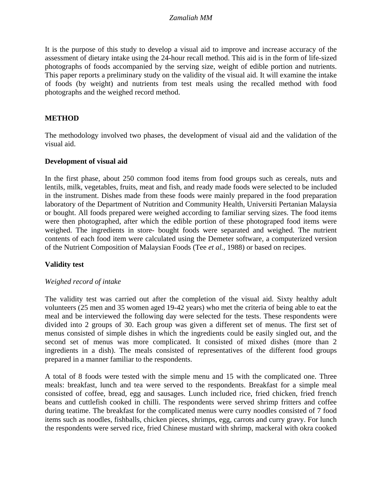It is the purpose of this study to develop a visual aid to improve and increase accuracy of the assessment of dietary intake using the 24-hour recall method. This aid is in the form of life-sized photographs of foods accompanied by the serving size, weight of edible portion and nutrients. This paper reports a preliminary study on the validity of the visual aid. It will examine the intake of foods (by weight) and nutrients from test meals using the recalled method with food photographs and the weighed record method.

## **METHOD**

The methodology involved two phases, the development of visual aid and the validation of the visual aid.

#### **Development of visual aid**

In the first phase, about 250 common food items from food groups such as cereals, nuts and lentils, milk, vegetables, fruits, meat and fish, and ready made foods were selected to be included in the instrument. Dishes made from these foods were mainly prepared in the food preparation laboratory of the Department of Nutrition and Community Health, Universiti Pertanian Malaysia or bought. All foods prepared were weighed according to familiar serving sizes. The food items were then photographed, after which the edible portion of these photograped food items were weighed. The ingredients in store- bought foods were separated and weighed. The nutrient contents of each food item were calculated using the Demeter software, a computerized version of the Nutrient Composition of Malaysian Foods (Tee *et al.,* 1988) or based on recipes.

### **Validity test**

### *Weighed record of intake*

The validity test was carried out after the completion of the visual aid. Sixty healthy adult volunteers (25 men and 35 women aged 19-42 years) who met the criteria of being able to eat the meal and be interviewed the following day were selected for the tests. These respondents were divided into 2 groups of 30. Each group was given a different set of menus. The first set of menus consisted of simple dishes in which the ingredients could be easily singled out, and the second set of menus was more complicated. It consisted of mixed dishes (more than 2 ingredients in a dish). The meals consisted of representatives of the different food groups prepared in a manner familiar to the respondents.

A total of 8 foods were tested with the simple menu and 15 with the complicated one. Three meals: breakfast, lunch and tea were served to the respondents. Breakfast for a simple meal consisted of coffee, bread, egg and sausages. Lunch included rice, fried chicken, fried french beans and cuttlefish cooked in chilli. The respondents were served shrimp fritters and coffee during teatime. The breakfast for the complicated menus were curry noodles consisted of 7 food items such as noodles, fishballs, chicken pieces, shrimps, egg, carrots and curry gravy. For lunch the respondents were served rice, fried Chinese mustard with shrimp, mackeral with okra cooked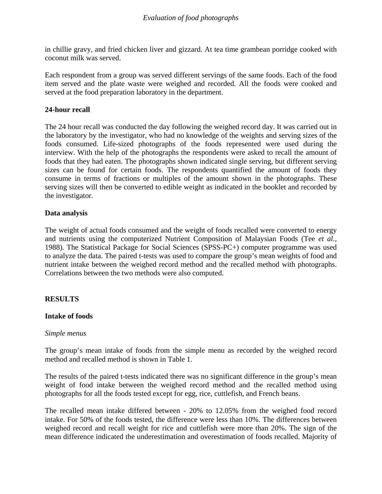in chillie gravy, and fried chicken liver and gizzard. At tea time grambean porridge cooked with coconut milk was served.

Each respondent from a group was served different servings of the same foods. Each of the food item served and the plate waste were weighed and recorded. All the foods were cooked and served at the food preparation laboratory in the department.

## **24-hour recall**

The 24 hour recall was conducted the day following the weighed record day. It was carried out in the laboratory by the investigator, who had no knowledge of the weights and serving sizes of the foods consumed. Life-sized photographs of the foods represented were used during the interview. With the help of the photographs the respondents were asked to recall the amount of foods that they had eaten. The photographs shown indicated single serving, but different serving sizes can be found for certain foods. The respondents quantified the amount of foods they consume in terms of fractions or multiples of the amount shown in the photographs. These serving sizes will then be converted to edible weight as indicated in the booklet and recorded by the investigator.

## **Data analysis**

The weight of actual foods consumed and the weight of foods recalled were converted to energy and nutrients using the computerized Nutrient Composition of Malaysian Foods (Tee *et al.,*  1988). The Statistical Package for Social Sciences (SPSS-PC+) computer programme was used to analyze the data. The paired t-tests was used to compare the group's mean weights of food and nutrient intake between the weighed record method and the recalled method with photographs. Correlations between the two methods were also computed.

## **RESULTS**

### **Intake of foods**

### *Simple menus*

The group's mean intake of foods from the simple menu as recorded by the weighed record method and recalled method is shown in Table 1.

The results of the paired t-tests indicated there was no significant difference in the group's mean weight of food intake between the weighed record method and the recalled method using photographs for all the foods tested except for egg, rice, cuttlefish, and French beans.

The recalled mean intake differed between - 20% to 12.05% from the weighed food record intake. For 50% of the foods tested, the difference were less than 10%. The differences between weighed record and recall weight for rice and cuttlefish were more than 20%. The sign of the mean difference indicated the underestimation and overestimation of foods recalled. Majority of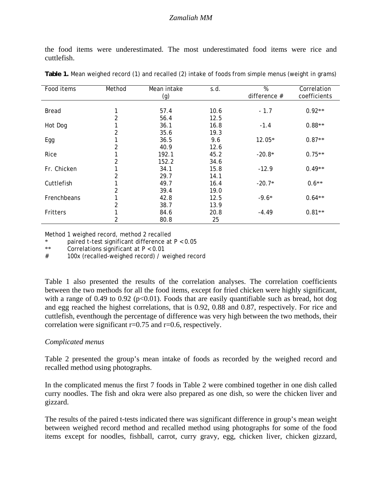the food items were underestimated. The most underestimated food items were rice and cuttlefish.

| Method | Mean intake<br>(g)                                                                                    | s.d.                                                                                                           | $\overline{\%}$<br>difference $#$                                                                         | Correlation<br>coefficients                                               |
|--------|-------------------------------------------------------------------------------------------------------|----------------------------------------------------------------------------------------------------------------|-----------------------------------------------------------------------------------------------------------|---------------------------------------------------------------------------|
|        |                                                                                                       |                                                                                                                |                                                                                                           |                                                                           |
| ◀      | 57.4                                                                                                  | 10.6                                                                                                           | $-1.7$                                                                                                    | $0.92**$                                                                  |
|        |                                                                                                       |                                                                                                                |                                                                                                           |                                                                           |
|        | 36.1                                                                                                  | 16.8                                                                                                           |                                                                                                           | $0.88**$                                                                  |
|        |                                                                                                       |                                                                                                                |                                                                                                           |                                                                           |
|        |                                                                                                       |                                                                                                                |                                                                                                           | $0.87**$                                                                  |
|        |                                                                                                       |                                                                                                                |                                                                                                           |                                                                           |
|        |                                                                                                       |                                                                                                                |                                                                                                           | $0.75**$                                                                  |
|        |                                                                                                       |                                                                                                                |                                                                                                           |                                                                           |
|        |                                                                                                       |                                                                                                                |                                                                                                           | $0.49**$                                                                  |
|        |                                                                                                       |                                                                                                                |                                                                                                           |                                                                           |
|        |                                                                                                       |                                                                                                                |                                                                                                           | $0.6**$                                                                   |
|        |                                                                                                       |                                                                                                                |                                                                                                           |                                                                           |
| 1      |                                                                                                       |                                                                                                                |                                                                                                           | $0.64**$                                                                  |
|        |                                                                                                       |                                                                                                                |                                                                                                           |                                                                           |
|        |                                                                                                       |                                                                                                                |                                                                                                           | $0.81**$                                                                  |
|        |                                                                                                       |                                                                                                                |                                                                                                           |                                                                           |
|        | $\overline{2}$<br>2<br>2<br>$\overline{2}$<br>$\overline{2}$<br>$\overline{2}$<br>$\overline{c}$<br>2 | 56.4<br>35.6<br>36.5<br>40.9<br>192.1<br>152.2<br>34.1<br>29.7<br>49.7<br>39.4<br>42.8<br>38.7<br>84.6<br>80.8 | 12.5<br>19.3<br>9.6<br>12.6<br>45.2<br>34.6<br>15.8<br>14.1<br>16.4<br>19.0<br>12.5<br>13.9<br>20.8<br>25 | $-1.4$<br>12.05*<br>$-20.8*$<br>$-12.9$<br>$-20.7*$<br>$-9.6*$<br>$-4.49$ |

**Table 1.** Mean weighed record (1) and recalled (2) intake of foods from simple menus (weight in grams)

Method 1 weighed record, method 2 recalled

\* paired t-test significant difference at P < 0.05

\*\* Correlations significant at P < 0.01

# 100x (recalled-weighed record) / weighed record

Table 1 also presented the results of the correlation analyses. The correlation coefficients between the two methods for all the food items, except for fried chicken were highly significant, with a range of 0.49 to 0.92 ( $p<0.01$ ). Foods that are easily quantifiable such as bread, hot dog and egg reached the highest correlations, that is 0.92, 0.88 and 0.87, respectively. For rice and cuttlefish, eventhough the percentage of difference was very high between the two methods, their correlation were significant r=0.75 and r=0.6, respectively.

### *Complicated menus*

Table 2 presented the group's mean intake of foods as recorded by the weighed record and recalled method using photographs.

In the complicated menus the first 7 foods in Table 2 were combined together in one dish called curry noodles. The fish and okra were also prepared as one dish, so were the chicken liver and gizzard.

The results of the paired t-tests indicated there was significant difference in group's mean weight between weighed record method and recalled method using photographs for some of the food items except for noodles, fishball, carrot, curry gravy, egg, chicken liver, chicken gizzard,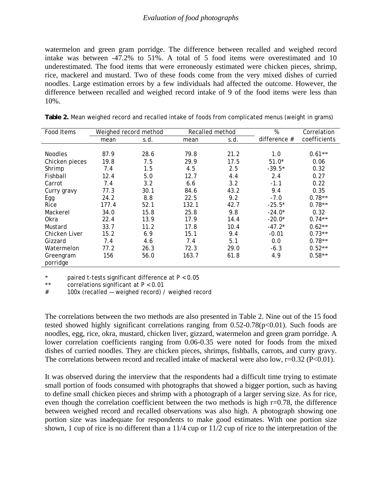#### *Evaluation of food photographs*

watermelon and green gram porridge. The difference between recalled and weighed record intake was between -47.2% to 51%. A total of 5 food items were overestimated and 10 underestimated. The food items that were erroneously estimated were chicken pieces, shrimp, rice, mackerel and mustard. Two of these foods come from the very mixed dishes of curried noodles. Large estimation errors by a few individuals had affected the outcome. However, the difference between recalled and weighed record intake of 9 of the food items were less than 10%.

| Food Items            | Recalled method<br>Weighed record method |      |       | $\overline{\%}$ | Correlation  |              |
|-----------------------|------------------------------------------|------|-------|-----------------|--------------|--------------|
|                       | mean                                     | s.d. | mean  | s.d.            | difference # | coefficients |
|                       |                                          |      |       |                 |              |              |
| <b>Noodles</b>        | 87.9                                     | 28.6 | 79.8  | 21.2            | 1.0          | $0.61**$     |
| Chicken pieces        | 19.8                                     | 7.5  | 29.9  | 17.5            | $51.0*$      | 0.06         |
| Shrimp                | 7.4                                      | 1.5  | 4.5   | 2.5             | $-39.5*$     | 0.32         |
| Fishball              | 12.4                                     | 5.0  | 12.7  | 4.4             | 2.4          | 0.27         |
| Carrot                | 7.4                                      | 3.2  | 6.6   | 3.2             | $-1.1$       | 0.22         |
| Curry gravy           | 77.3                                     | 30.1 | 84.6  | 43.2            | 9.4          | 0.35         |
| Egg                   | 24.2                                     | 8.8  | 22.5  | 9.2             | $-7.0$       | $0.78**$     |
| Rice                  | 177.4                                    | 52.1 | 132.1 | 42.7            | $-25.5*$     | $0.78**$     |
| Mackerel              | 34.0                                     | 15.8 | 25.8  | 9.8             | $-24.0*$     | 0.32         |
| Okra                  | 22.4                                     | 13.9 | 17.9  | 14.4            | $-20.0*$     | $0.74**$     |
| Mustard               | 33.7                                     | 11.2 | 17.8  | 10.4            | $-47.2*$     | $0.62**$     |
| <b>Chicken Liver</b>  | 15.2                                     | 6.9  | 15.1  | 9.4             | $-0.01$      | $0.73**$     |
| Gizzard               | 7.4                                      | 4.6  | 7.4   | 5.1             | 0.0          | $0.78**$     |
| Watermelon            | 77.2                                     | 26.3 | 72.3  | 29.0            | $-6.3$       | $0.52**$     |
| Greengram<br>porridge | 156                                      | 56.0 | 163.7 | 61.8            | 4.9          | $0.58**$     |

| Table 2. Mean weighed record and recalled intake of foods from complicated menus (weight in grams) |  |
|----------------------------------------------------------------------------------------------------|--|
|                                                                                                    |  |

\* paired t-tests signIficant difference at P < 0.05

\*\* correlations signIficant at P < 0.01

# 100x (recalled — weighed record) / weighed record

The correlations between the two methods are also presented in Table 2. Nine out of the 15 food tested showed highly significant correlations ranging from  $0.52$ - $0.78(p<0.01)$ . Such foods are noodles, egg, rice, okra, mustard, chicken liver, gizzard, watermelon and green gram porridge. A lower correlation coefficients ranging from 0.06-0.35 were noted for foods from the mixed dishes of curried noodles. They are chicken pieces, shrimps, fishballs, carrots, and curry gravy. The correlations between record and recalled intake of mackeral were also low,  $r=0.32$  (P<0.01).

It was observed during the interview that the respondents had a difficult time trying to estimate small portion of foods consumed with photographs that showed a bigger portion, such as having to define small chicken pieces and shrimp with a photograph of a larger serving size. As for rice, even though the correlation coefficient between the two methods is high r=0.78, the difference between weighed record and recalled observations was also high. A photograph showing one portion size was inadequate for respondents to make good estimates. With one portion size shown, 1 cup of rice is no different than a 11/4 cup or 11/2 cup of rice to the interpretation of the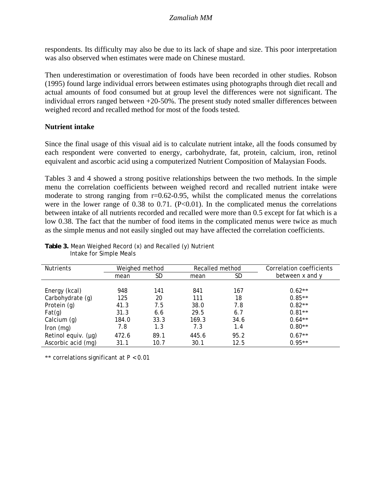respondents. Its difficulty may also be due to its lack of shape and size. This poor interpretation was also observed when estimates were made on Chinese mustard.

Then underestimation or overestimation of foods have been recorded in other studies. Robson (1995) found large individual errors between estimates using photographs through diet recall and actual amounts of food consumed but at group level the differences were not significant. The individual errors ranged between +20-50%. The present study noted smaller differences between weighed record and recalled method for most of the foods tested.

## **Nutrient intake**

Since the final usage of this visual aid is to calculate nutrient intake, all the foods consumed by each respondent were converted to energy, carbohydrate, fat, protein, calcium, iron, retinol equivalent and ascorbic acid using a computerized Nutrient Composition of Malaysian Foods.

Tables 3 and 4 showed a strong positive relationships between the two methods. In the simple menu the correlation coefficients between weighed record and recalled nutrient intake were moderate to strong ranging from r=0.62-0.95, whilst the complicated menus the correlations were in the lower range of  $0.38$  to  $0.71$ . (P<0.01). In the complicated menus the correlations between intake of all nutrients recorded and recalled were more than 0.5 except for fat which is a low 0.38. The fact that the number of food items in the complicated menus were twice as much as the simple menus and not easily singled out may have affected the correlation coefficients.

| <b>Nutrients</b>    | Weighed method |      | Recalled method |      | Correlation coefficients |
|---------------------|----------------|------|-----------------|------|--------------------------|
|                     | mean           | SD   | mean            | SD   | between x and y          |
|                     |                |      |                 |      |                          |
| Energy (kcal)       | 948            | 141  | 841             | 167  | $0.62**$                 |
| Carbohydrate (g)    | 125            | 20   | 111             | 18   | $0.85**$                 |
| Protein (g)         | 41.3           | 7.5  | 38.0            | 7.8  | $0.82**$                 |
| Fat(g)              | 31.3           | 6.6  | 29.5            | 6.7  | $0.81**$                 |
| Calcium (g)         | 184.0          | 33.3 | 169.3           | 34.6 | $0.64**$                 |
| $lron$ (mg)         | 7.8            | 1.3  | 7.3             | 1.4  | $0.80**$                 |
| Retinol equiv. (µg) | 472.6          | 89.1 | 445.6           | 95.2 | $0.67**$                 |
| Ascorbic acid (mg)  | 31.1           | 10.7 | 30.1            | 12.5 | $0.95**$                 |

**Table 3.** Mean Weighed Record (x) and Recalled (y) Nutrient Intake for Simple Meals

\*\* correlations significant at P < 0.01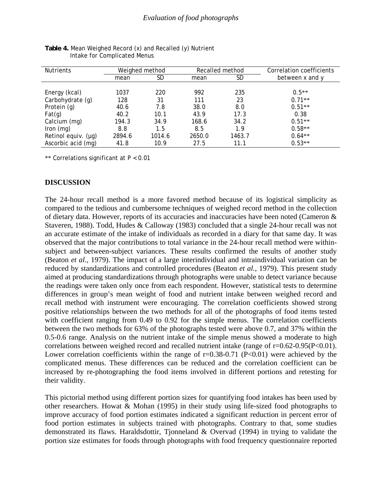| <b>Nutrients</b>    | Weighed method |        | Recalled method |        | Correlation coefficients |
|---------------------|----------------|--------|-----------------|--------|--------------------------|
|                     | mean           | SD     | mean            | SD     | between x and y          |
|                     |                |        |                 |        |                          |
| Energy (kcal)       | 1037           | 220    | 992             | 235    | $0.5**$                  |
| Carbohydrate (g)    | 128            | 31     | 111             | 23     | $0.71**$                 |
| Protein (g)         | 40.6           | 7.8    | 38.0            | 8.0    | $0.51**$                 |
| Fat(g)              | 40.2           | 10.1   | 43.9            | 17.3   | 0.38                     |
| Calcium (mg)        | 194.3          | 34.9   | 168.6           | 34.2   | $0.51**$                 |
| Iron $(mg)$         | 8.8            | 1.5    | 8.5             | 1.9    | $0.58**$                 |
| Retinol equiv. (µg) | 2894.6         | 1014.6 | 2650.0          | 1463.7 | $0.64**$                 |
| Ascorbic acid (mg)  | 41.8           | 10.9   | 27.5            | 11.1   | $0.53**$                 |

**Table 4.** Mean Weighed Record (x) and Recalled (y) Nutrient Intake for Complicated Menus

\*\* Correlations significant at P < 0.01

#### **DISCUSSION**

The 24-hour recall method is a more favored method because of its logistical simplicity as compared to the tedious and cumbersome techniques of weighed record method in the collection of dietary data. However, reports of its accuracies and inaccuracies have been noted (Cameron & Staveren, 1988). Todd, Hudes & Calloway (1983) concluded that a single 24-hour recall was not an accurate estimate of the intake of individuals as recorded in a diary for that same day. It was observed that the major contributions to total variance in the 24-hour recall method were withinsubject and between-subject variances. These results confirmed the results of another study (Beaton *et al.,* 1979). The impact of a large interindividual and intraindividual variation can be reduced by standardizations and controlled procedures (Beaton *et al.,* 1979). This present study aimed at producing standardizations through photographs were unable to detect variance because the readings were taken only once from each respondent. However, statistical tests to determine differences in group's mean weight of food and nutrient intake between weighed record and recall method with instrument were encouraging. The correlation coefficients showed strong positive relationships between the two methods for all of the photographs of food items tested with coefficient ranging from 0.49 to 0.92 for the simple menus. The correlation coefficients between the two methods for 63% of the photographs tested were above 0.7, and 37% within the 0.5-0.6 range. Analysis on the nutrient intake of the simple menus showed a moderate to high correlations between weighed record and recalled nutrient intake (range of  $r=0.62-0.95(P<0.01)$ . Lower correlation coefficients within the range of  $r=0.38-0.71$  (P<0.01) were achieved by the complicated menus. These differences can be reduced and the correlation coefficient can be increased by re-photographing the food items involved in different portions and retesting for their validity.

This pictorial method using different portion sizes for quantifying food intakes has been used by other researchers. Howat & Mohan (1995) in their study using life-sized food photographs to improve accuracy of food portion estimates indicated a significant reduction in percent error of food portion estimates in subjects trained with photographs. Contrary to that, some studies demonstrated its flaws. Haraldsdottir, Tjonneland & Overvad (1994) in trying to validate the portion size estimates for foods through photographs with food frequency questionnaire reported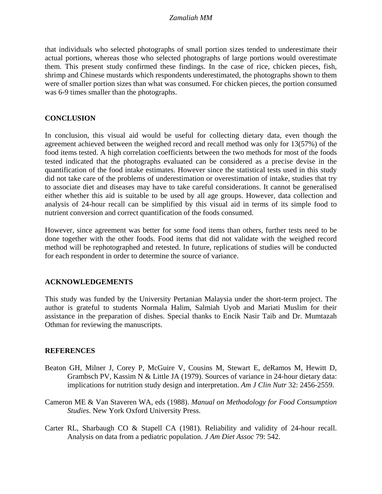that individuals who selected photographs of small portion sizes tended to underestimate their actual portions, whereas those who selected photographs of large portions would overestimate them. This present study confirmed these findings. In the case of rice, chicken pieces, fish, shrimp and Chinese mustards which respondents underestimated, the photographs shown to them were of smaller portion sizes than what was consumed. For chicken pieces, the portion consumed was 6-9 times smaller than the photographs.

## **CONCLUSION**

In conclusion, this visual aid would be useful for collecting dietary data, even though the agreement achieved between the weighed record and recall method was only for 13(57%) of the food items tested. A high correlation coefficients between the two methods for most of the foods tested indicated that the photographs evaluated can be considered as a precise devise in the quantification of the food intake estimates. However since the statistical tests used in this study did not take care of the problems of underestimation or overestimation of intake, studies that try to associate diet and diseases may have to take careful considerations. It cannot be generalised either whether this aid is suitable to be used by all age groups. However, data collection and analysis of 24-hour recall can be simplified by this visual aid in terms of its simple food to nutrient conversion and correct quantification of the foods consumed.

However, since agreement was better for some food items than others, further tests need to be done together with the other foods. Food items that did not validate with the weighed record method will be rephotographed and retested. In future, replications of studies will be conducted for each respondent in order to determine the source of variance.

### **ACKNOWLEDGEMENTS**

This study was funded by the University Pertanian Malaysia under the short-term project. The author is grateful to students Normala Halim, Salmiah Uyob and Mariati Muslim for their assistance in the preparation of dishes. Special thanks to Encik Nasir Taib and Dr. Mumtazah Othman for reviewing the manuscripts.

### **REFERENCES**

- Beaton GH, Milner J, Corey P, McGuire V, Cousins M, Stewart E, deRamos M, Hewitt D, Grambsch PV, Kassim N & Little JA (1979). Sources of variance in 24-hour dietary data: implications for nutrition study design and interpretation. *Am J Clin Nutr* 32: 2456-2559.
- Cameron ME & Van Staveren WA, eds (1988). *Manual on Methodology for Food Consumption Studies.* New York Oxford University Press.
- Carter RL, Sharbaugh CO & Stapell CA (1981). Reliability and validity of 24-hour recall. Analysis on data from a pediatric population. *J Am Diet Assoc* 79: 542.